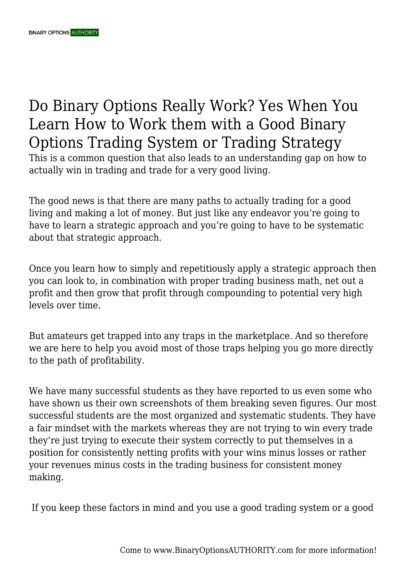# Do Binary Options Really Work? Yes When You Learn How to Work them with a Good Binary Options Trading System or Trading Strategy

This is a common question that also leads to an understanding gap on how to actually win in trading and trade for a very good living.

The good news is that there are many paths to actually trading for a good living and making a lot of money. But just like any endeavor you're going to have to learn a strategic approach and you're going to have to be systematic about that strategic approach.

Once you learn how to simply and repetitiously apply a strategic approach then you can look to, in combination with proper trading business math, net out a profit and then grow that profit through compounding to potential very high levels over time.

But amateurs get trapped into any traps in the marketplace. And so therefore we are here to help you avoid most of those traps helping you go more directly to the path of profitability.

We have many successful students as they have reported to us even some who have shown us their own screenshots of them breaking seven figures. Our most successful students are the most organized and systematic students. They have a fair mindset with the markets whereas they are not trying to win every trade they're just trying to execute their system correctly to put themselves in a position for consistently netting profits with your wins minus losses or rather your revenues minus costs in the trading business for consistent money making.

If you keep these factors in mind and you use a good trading system or a good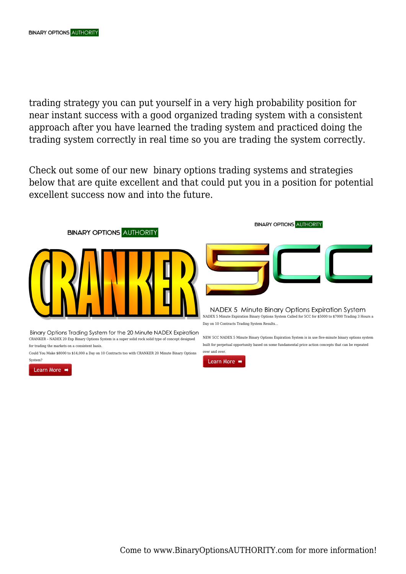trading strategy you can put yourself in a very high probability position for near instant success with a good organized trading system with a consistent approach after you have learned the trading system and practiced doing the trading system correctly in real time so you are trading the system correctly.

Check out some of our new binary options trading systems and strategies below that are quite excellent and that could put you in a position for potential excellent success now and into the future.



Binary Options Trading System for the 20 Minute NADEX Expiration CRANKER – NADEX 20 Exp Binary Options System is a super solid rock solid type of concept designed for trading the markets on a consistent basis.

Could You Make \$8000 to \$14,000 a Day on 10 Contracts too with CRANKER 20 Minute Binary Options System?

Learn More  $\rightarrow$ 

**BINARY OPTIONS AUTHORITY** 



NADEX 5 Minute Binary Options Expiration System NADEX 5 Minute Expiration Binary Options System Called for 5CC for \$5000 to \$7000 Trading 3 Hours a Day on 10 Contracts Trading System Results…

NEW 5CC NADEX 5 Minute Binary Options Expiration System is in use five-minute binary options system built for perpetual opportunity based on some fundamental price action concepts that can be repeated



over and over.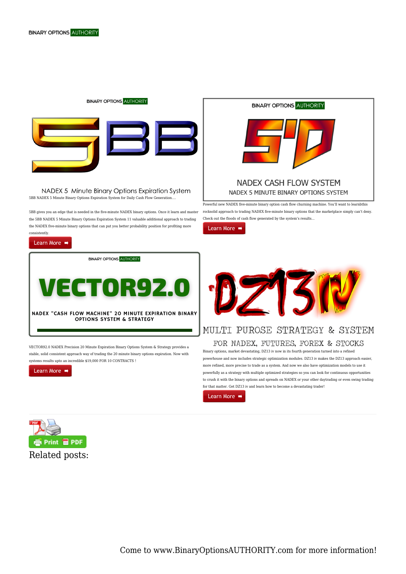#### **BINARY OPTIONS AUTHORITY**



NADEX 5 Minute Binary Options Expiration System 5BB NADEX 5 Minute Binary Options Expiration System for Daily Cash Flow Generation….

5BB gives you an edge that is needed in the five-minute NADEX binary options. Once it learn and master the 5BB NADEX 5 Minute Binary Options Expiration System 11 valuable additional approach to trading the NADEX five-minute binary options that can put you better probability position for profiting more consistently.

### Learn More →

**BINARY OPTIONS AUTHORITY** 



VECTOR92.0 NADEX Precision 20 Minute Expiration Binary Options System & Strategy provides a stable, solid consistent approach way of trading the 20 minute binary options expiration. Now with systems results upto an incredible \$19,000 FOR 10 CONTRACTS !

Learn More  $\rightarrow$ 



Powerful new NADEX five-minute binary option cash flow churning machine. You'll want to learnbthis rocksolid approach to trading NADEX five-minute binary options that the marketplace simply can't deny. Check out the floods of cash flow generated by the system's results…

Learn More  $\rightarrow$ 



## MULTI PUROSE STRATEGY & SYSTEM

#### FOR NADEX, FUTURES, FOREX & STOCKS

Binary options, market devastating, DZ13 iv now in its fourth generation turned into a refined powerhouse and now includes strategic optimization modules. DZ13 iv makes the DZ13 approach easier, more refined, more precise to trade as a system. And now we also have optimization models to use it powerfully as a strategy with multiple optimized strategies so you can look for continuous opportunities to crush it with the binary options and spreads on NADEX or your other daytrading or even swing trading for that matter. Get DZ13 iv and learn how to become a devastating trader!



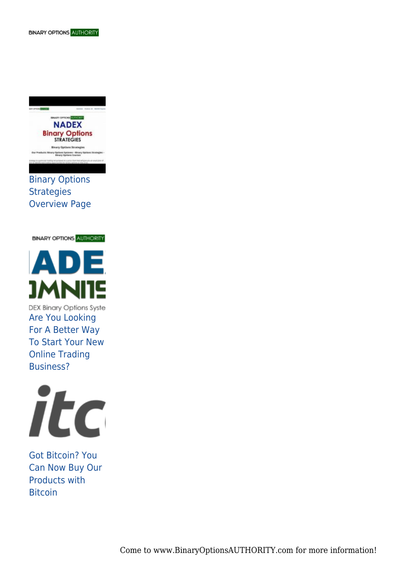

Binary Options **Strategies** Overview Page

**BINARY OPTIONS AUTHORITY** 



DEX Binary Options Syste Are You Looking For A Better Way To Start Your New Online Trading Business?



Got Bitcoin? You Can Now Buy Our Products with Bitcoin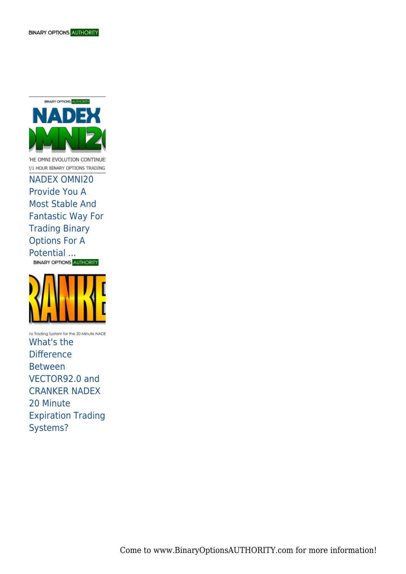

THE OMNI EVOLUTION CONTINUE: 2/1 HOUR BINARY OPTIONS TRADING

NADEX OMNI20 Provide You A Most Stable And Fantastic Way For Trading Binary Options For A Potential ...<br>
BINARY OPTIONS AUTHORITY



ins Trading System for the 20 Minute NADE What's the **Difference** Between VECTOR92.0 and CRANKER NADEX 20 Minute Expiration Trading Systems?